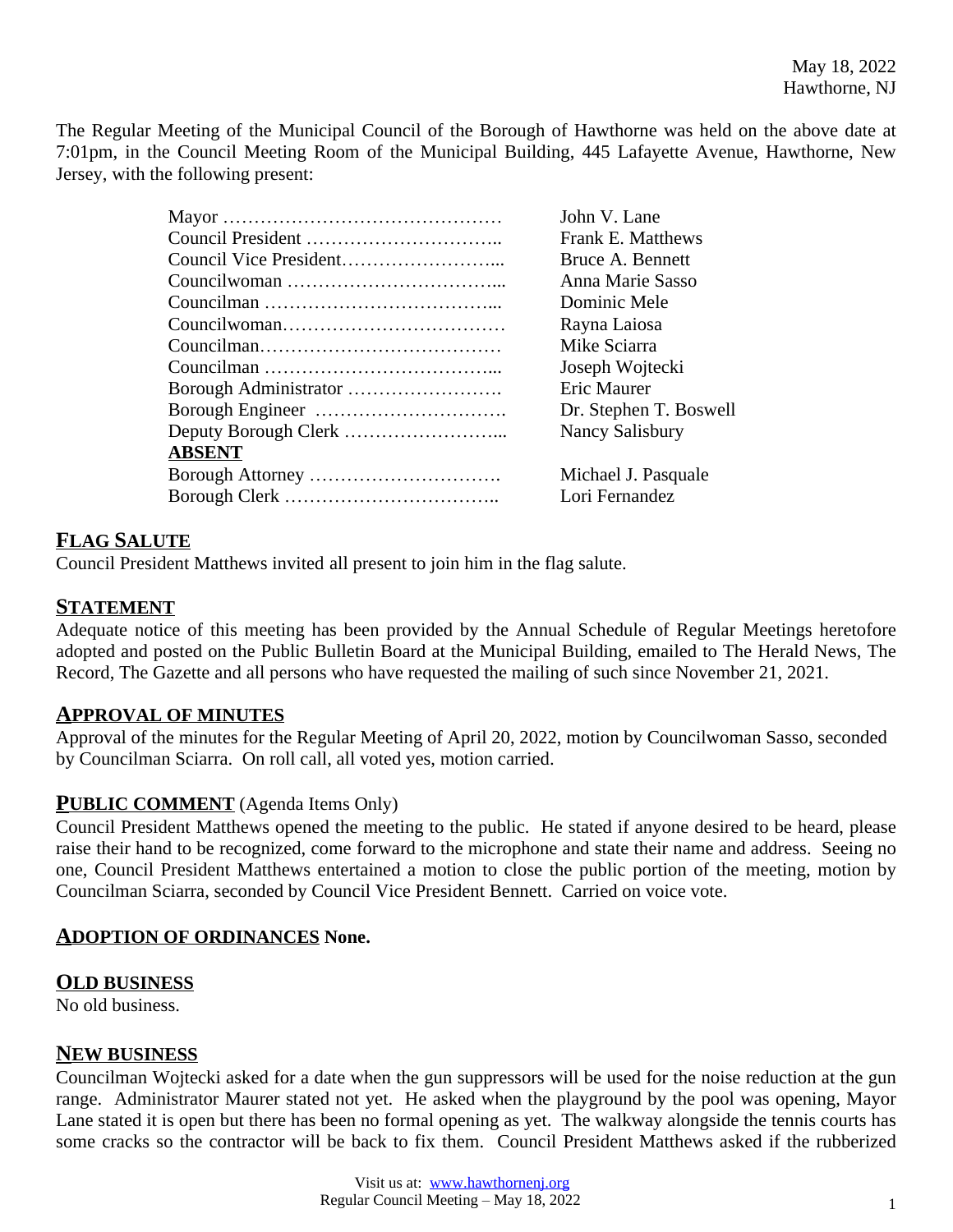The Regular Meeting of the Municipal Council of the Borough of Hawthorne was held on the above date at 7:01pm, in the Council Meeting Room of the Municipal Building, 445 Lafayette Avenue, Hawthorne, New Jersey, with the following present:

|               | John V. Lane             |
|---------------|--------------------------|
|               | <b>Frank E. Matthews</b> |
|               | Bruce A. Bennett         |
|               | Anna Marie Sasso         |
|               | Dominic Mele             |
|               | Rayna Laiosa             |
|               | Mike Sciarra             |
|               | Joseph Wojtecki          |
|               | Eric Maurer              |
|               | Dr. Stephen T. Boswell   |
|               | Nancy Salisbury          |
| <b>ABSENT</b> |                          |
|               | Michael J. Pasquale      |
|               | Lori Fernandez           |

# **FLAG SALUTE**

Council President Matthews invited all present to join him in the flag salute.

## **STATEMENT**

Adequate notice of this meeting has been provided by the Annual Schedule of Regular Meetings heretofore adopted and posted on the Public Bulletin Board at the Municipal Building, emailed to The Herald News, The Record, The Gazette and all persons who have requested the mailing of such since November 21, 2021.

## **APPROVAL OF MINUTES**

Approval of the minutes for the Regular Meeting of April 20, 2022, motion by Councilwoman Sasso, seconded by Councilman Sciarra. On roll call, all voted yes, motion carried.

## **PUBLIC COMMENT** (Agenda Items Only)

Council President Matthews opened the meeting to the public. He stated if anyone desired to be heard, please raise their hand to be recognized, come forward to the microphone and state their name and address. Seeing no one, Council President Matthews entertained a motion to close the public portion of the meeting, motion by Councilman Sciarra, seconded by Council Vice President Bennett. Carried on voice vote.

## **ADOPTION OF ORDINANCES None.**

## **OLD BUSINESS**

No old business.

## **NEW BUSINESS**

Councilman Wojtecki asked for a date when the gun suppressors will be used for the noise reduction at the gun range. Administrator Maurer stated not yet. He asked when the playground by the pool was opening, Mayor Lane stated it is open but there has been no formal opening as yet. The walkway alongside the tennis courts has some cracks so the contractor will be back to fix them. Council President Matthews asked if the rubberized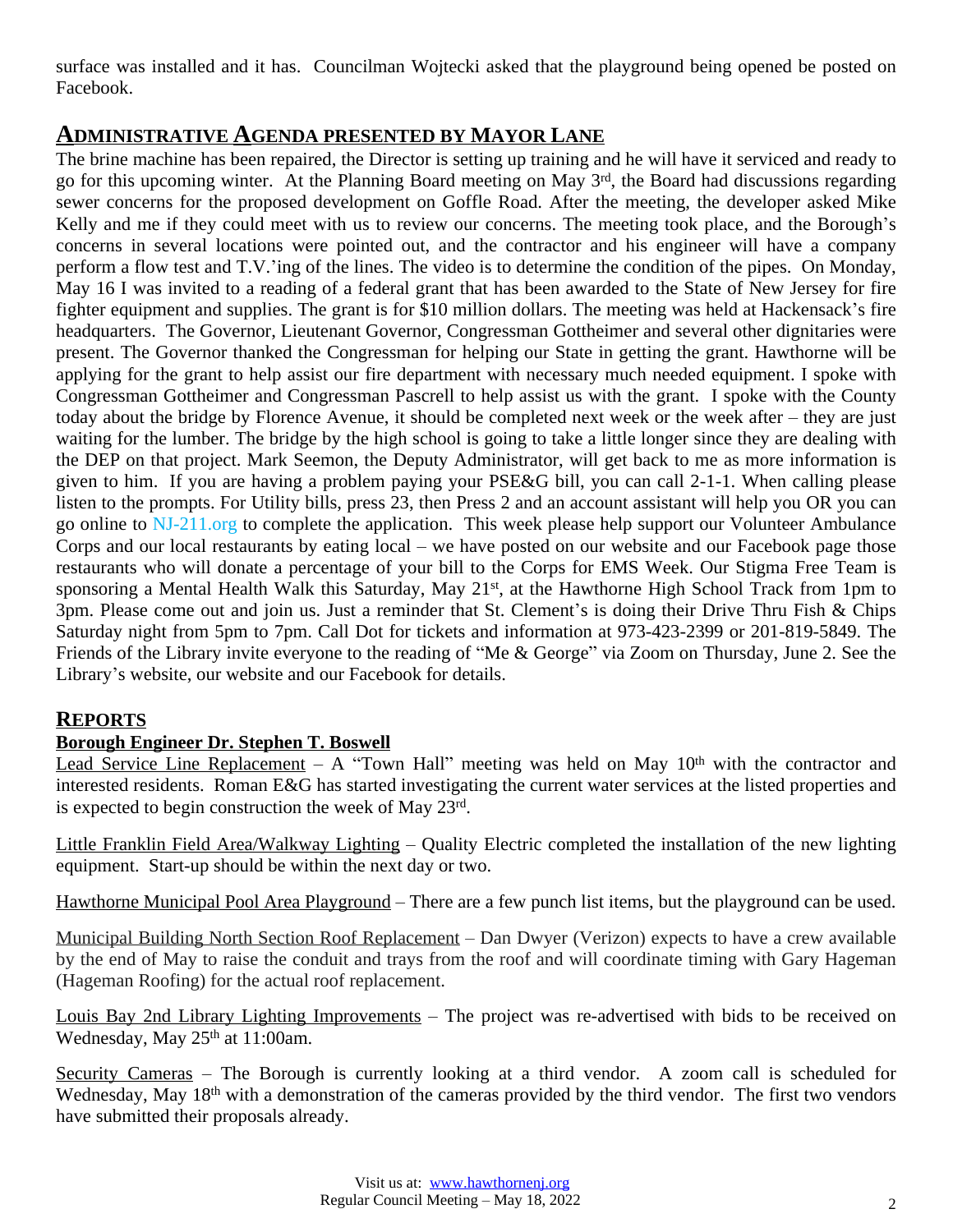surface was installed and it has. Councilman Wojtecki asked that the playground being opened be posted on Facebook.

# **ADMINISTRATIVE AGENDA PRESENTED BY MAYOR LANE**

The brine machine has been repaired, the Director is setting up training and he will have it serviced and ready to go for this upcoming winter. At the Planning Board meeting on May 3<sup>rd</sup>, the Board had discussions regarding sewer concerns for the proposed development on Goffle Road. After the meeting, the developer asked Mike Kelly and me if they could meet with us to review our concerns. The meeting took place, and the Borough's concerns in several locations were pointed out, and the contractor and his engineer will have a company perform a flow test and T.V.'ing of the lines. The video is to determine the condition of the pipes. On Monday, May 16 I was invited to a reading of a federal grant that has been awarded to the State of New Jersey for fire fighter equipment and supplies. The grant is for \$10 million dollars. The meeting was held at Hackensack's fire headquarters. The Governor, Lieutenant Governor, Congressman Gottheimer and several other dignitaries were present. The Governor thanked the Congressman for helping our State in getting the grant. Hawthorne will be applying for the grant to help assist our fire department with necessary much needed equipment. I spoke with Congressman Gottheimer and Congressman Pascrell to help assist us with the grant. I spoke with the County today about the bridge by Florence Avenue, it should be completed next week or the week after – they are just waiting for the lumber. The bridge by the high school is going to take a little longer since they are dealing with the DEP on that project. Mark Seemon, the Deputy Administrator, will get back to me as more information is given to him. If you are having a problem paying your PSE&G bill, you can call 2-1-1. When calling please listen to the prompts. For Utility bills, press 23, then Press 2 and an account assistant will help you OR you can go online to NJ-211.org to complete the application. This week please help support our Volunteer Ambulance Corps and our local restaurants by eating local – we have posted on our website and our Facebook page those restaurants who will donate a percentage of your bill to the Corps for EMS Week. Our Stigma Free Team is sponsoring a Mental Health Walk this Saturday, May 21<sup>st</sup>, at the Hawthorne High School Track from 1pm to 3pm. Please come out and join us. Just a reminder that St. Clement's is doing their Drive Thru Fish & Chips Saturday night from 5pm to 7pm. Call Dot for tickets and information at 973-423-2399 or 201-819-5849. The Friends of the Library invite everyone to the reading of "Me & George" via Zoom on Thursday, June 2. See the Library's website, our website and our Facebook for details.

# **REPORTS**

# **Borough Engineer Dr. Stephen T. Boswell**

Lead Service Line Replacement – A "Town Hall" meeting was held on May  $10<sup>th</sup>$  with the contractor and interested residents. Roman E&G has started investigating the current water services at the listed properties and is expected to begin construction the week of May 23rd.

Little Franklin Field Area/Walkway Lighting – Quality Electric completed the installation of the new lighting equipment. Start-up should be within the next day or two.

Hawthorne Municipal Pool Area Playground – There are a few punch list items, but the playground can be used.

Municipal Building North Section Roof Replacement – Dan Dwyer (Verizon) expects to have a crew available by the end of May to raise the conduit and trays from the roof and will coordinate timing with Gary Hageman (Hageman Roofing) for the actual roof replacement.

Louis Bay 2nd Library Lighting Improvements – The project was re-advertised with bids to be received on Wednesday, May 25<sup>th</sup> at 11:00am.

Security Cameras – The Borough is currently looking at a third vendor. A zoom call is scheduled for Wednesday, May 18<sup>th</sup> with a demonstration of the cameras provided by the third vendor. The first two vendors have submitted their proposals already.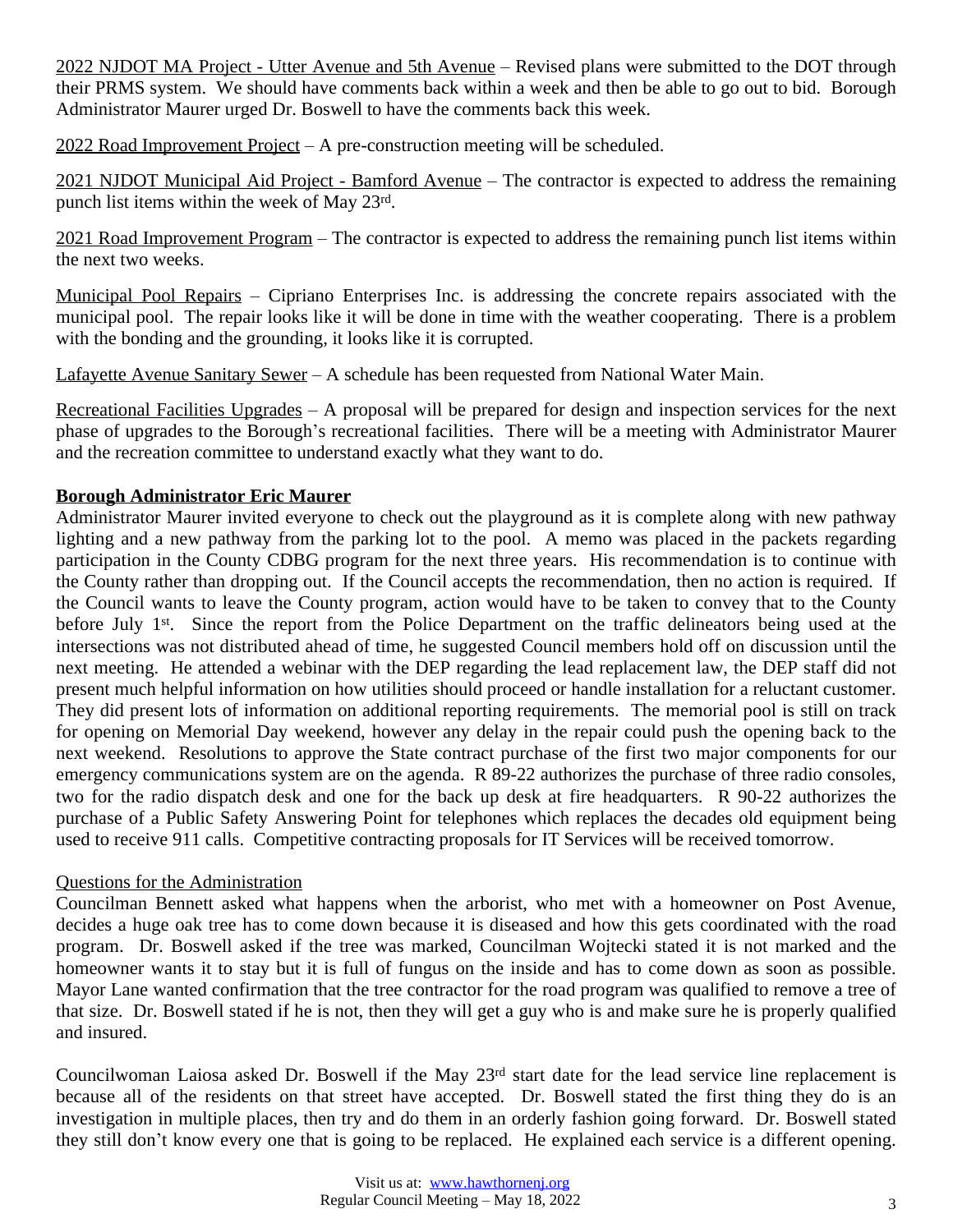2022 NJDOT MA Project - Utter Avenue and 5th Avenue – Revised plans were submitted to the DOT through their PRMS system. We should have comments back within a week and then be able to go out to bid. Borough Administrator Maurer urged Dr. Boswell to have the comments back this week.

2022 Road Improvement Project – A pre-construction meeting will be scheduled.

2021 NJDOT Municipal Aid Project - Bamford Avenue – The contractor is expected to address the remaining punch list items within the week of May 23rd.

2021 Road Improvement Program – The contractor is expected to address the remaining punch list items within the next two weeks.

Municipal Pool Repairs – Cipriano Enterprises Inc. is addressing the concrete repairs associated with the municipal pool. The repair looks like it will be done in time with the weather cooperating. There is a problem with the bonding and the grounding, it looks like it is corrupted.

Lafayette Avenue Sanitary Sewer – A schedule has been requested from National Water Main.

Recreational Facilities Upgrades – A proposal will be prepared for design and inspection services for the next phase of upgrades to the Borough's recreational facilities. There will be a meeting with Administrator Maurer and the recreation committee to understand exactly what they want to do.

# **Borough Administrator Eric Maurer**

Administrator Maurer invited everyone to check out the playground as it is complete along with new pathway lighting and a new pathway from the parking lot to the pool. A memo was placed in the packets regarding participation in the County CDBG program for the next three years. His recommendation is to continue with the County rather than dropping out. If the Council accepts the recommendation, then no action is required. If the Council wants to leave the County program, action would have to be taken to convey that to the County before July 1<sup>st</sup>. Since the report from the Police Department on the traffic delineators being used at the intersections was not distributed ahead of time, he suggested Council members hold off on discussion until the next meeting. He attended a webinar with the DEP regarding the lead replacement law, the DEP staff did not present much helpful information on how utilities should proceed or handle installation for a reluctant customer. They did present lots of information on additional reporting requirements. The memorial pool is still on track for opening on Memorial Day weekend, however any delay in the repair could push the opening back to the next weekend. Resolutions to approve the State contract purchase of the first two major components for our emergency communications system are on the agenda. R 89-22 authorizes the purchase of three radio consoles, two for the radio dispatch desk and one for the back up desk at fire headquarters. R 90-22 authorizes the purchase of a Public Safety Answering Point for telephones which replaces the decades old equipment being used to receive 911 calls. Competitive contracting proposals for IT Services will be received tomorrow.

## Questions for the Administration

Councilman Bennett asked what happens when the arborist, who met with a homeowner on Post Avenue, decides a huge oak tree has to come down because it is diseased and how this gets coordinated with the road program. Dr. Boswell asked if the tree was marked, Councilman Wojtecki stated it is not marked and the homeowner wants it to stay but it is full of fungus on the inside and has to come down as soon as possible. Mayor Lane wanted confirmation that the tree contractor for the road program was qualified to remove a tree of that size. Dr. Boswell stated if he is not, then they will get a guy who is and make sure he is properly qualified and insured.

Councilwoman Laiosa asked Dr. Boswell if the May 23rd start date for the lead service line replacement is because all of the residents on that street have accepted. Dr. Boswell stated the first thing they do is an investigation in multiple places, then try and do them in an orderly fashion going forward. Dr. Boswell stated they still don't know every one that is going to be replaced. He explained each service is a different opening.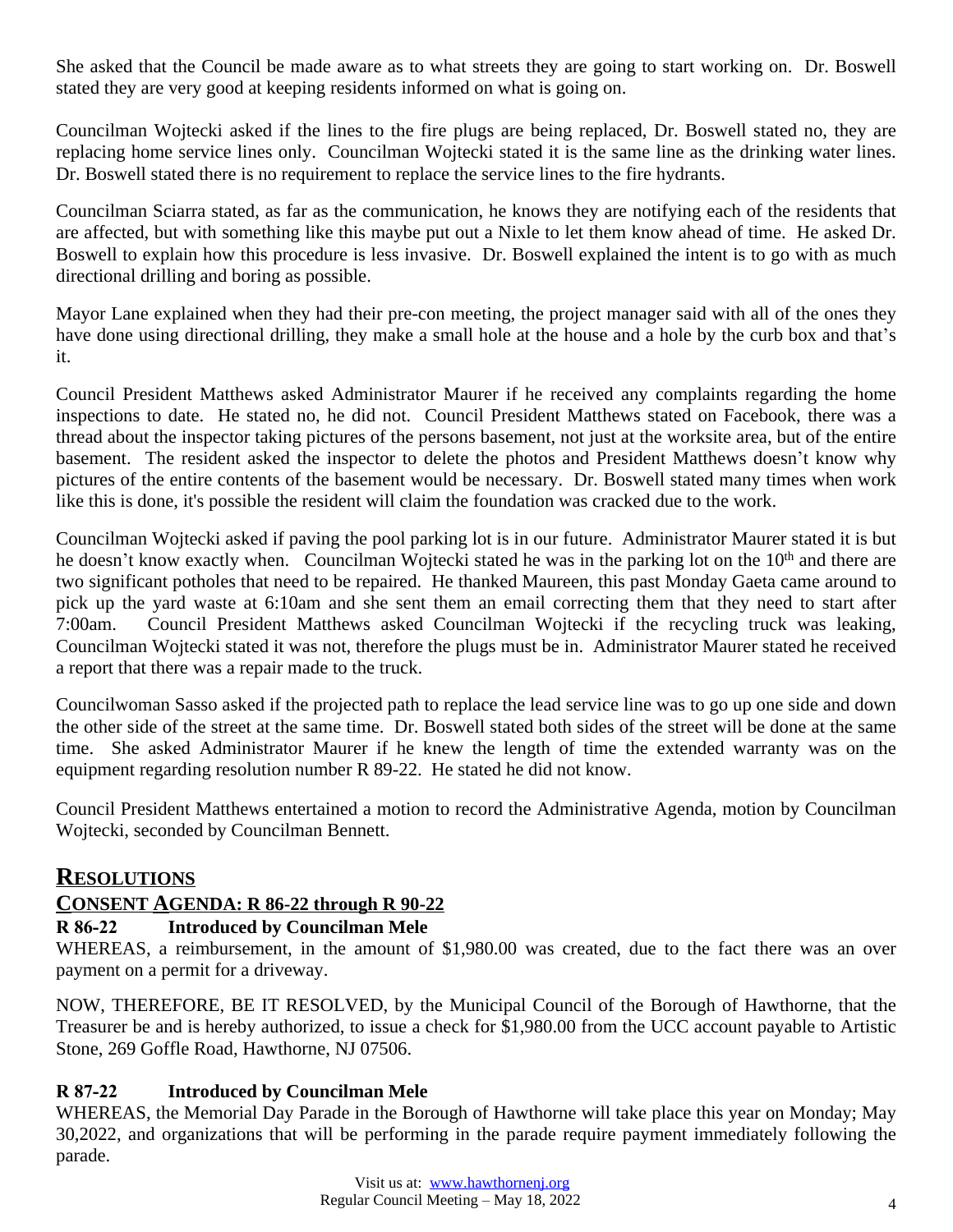She asked that the Council be made aware as to what streets they are going to start working on. Dr. Boswell stated they are very good at keeping residents informed on what is going on.

Councilman Wojtecki asked if the lines to the fire plugs are being replaced, Dr. Boswell stated no, they are replacing home service lines only. Councilman Wojtecki stated it is the same line as the drinking water lines. Dr. Boswell stated there is no requirement to replace the service lines to the fire hydrants.

Councilman Sciarra stated, as far as the communication, he knows they are notifying each of the residents that are affected, but with something like this maybe put out a Nixle to let them know ahead of time. He asked Dr. Boswell to explain how this procedure is less invasive. Dr. Boswell explained the intent is to go with as much directional drilling and boring as possible.

Mayor Lane explained when they had their pre-con meeting, the project manager said with all of the ones they have done using directional drilling, they make a small hole at the house and a hole by the curb box and that's it.

Council President Matthews asked Administrator Maurer if he received any complaints regarding the home inspections to date. He stated no, he did not. Council President Matthews stated on Facebook, there was a thread about the inspector taking pictures of the persons basement, not just at the worksite area, but of the entire basement. The resident asked the inspector to delete the photos and President Matthews doesn't know why pictures of the entire contents of the basement would be necessary. Dr. Boswell stated many times when work like this is done, it's possible the resident will claim the foundation was cracked due to the work.

Councilman Wojtecki asked if paving the pool parking lot is in our future. Administrator Maurer stated it is but he doesn't know exactly when. Councilman Wojtecki stated he was in the parking lot on the 10<sup>th</sup> and there are two significant potholes that need to be repaired. He thanked Maureen, this past Monday Gaeta came around to pick up the yard waste at 6:10am and she sent them an email correcting them that they need to start after 7:00am. Council President Matthews asked Councilman Wojtecki if the recycling truck was leaking, Councilman Wojtecki stated it was not, therefore the plugs must be in. Administrator Maurer stated he received a report that there was a repair made to the truck.

Councilwoman Sasso asked if the projected path to replace the lead service line was to go up one side and down the other side of the street at the same time. Dr. Boswell stated both sides of the street will be done at the same time. She asked Administrator Maurer if he knew the length of time the extended warranty was on the equipment regarding resolution number R 89-22. He stated he did not know.

Council President Matthews entertained a motion to record the Administrative Agenda, motion by Councilman Wojtecki, seconded by Councilman Bennett.

# **RESOLUTIONS**

# **CONSENT AGENDA: R 86-22 through R 90-22**

# **R 86-22 Introduced by Councilman Mele**

WHEREAS, a reimbursement, in the amount of \$1,980.00 was created, due to the fact there was an over payment on a permit for a driveway.

NOW, THEREFORE, BE IT RESOLVED, by the Municipal Council of the Borough of Hawthorne, that the Treasurer be and is hereby authorized, to issue a check for \$1,980.00 from the UCC account payable to Artistic Stone, 269 Goffle Road, Hawthorne, NJ 07506.

# **R 87-22 Introduced by Councilman Mele**

WHEREAS, the Memorial Day Parade in the Borough of Hawthorne will take place this year on Monday; May 30,2022, and organizations that will be performing in the parade require payment immediately following the parade.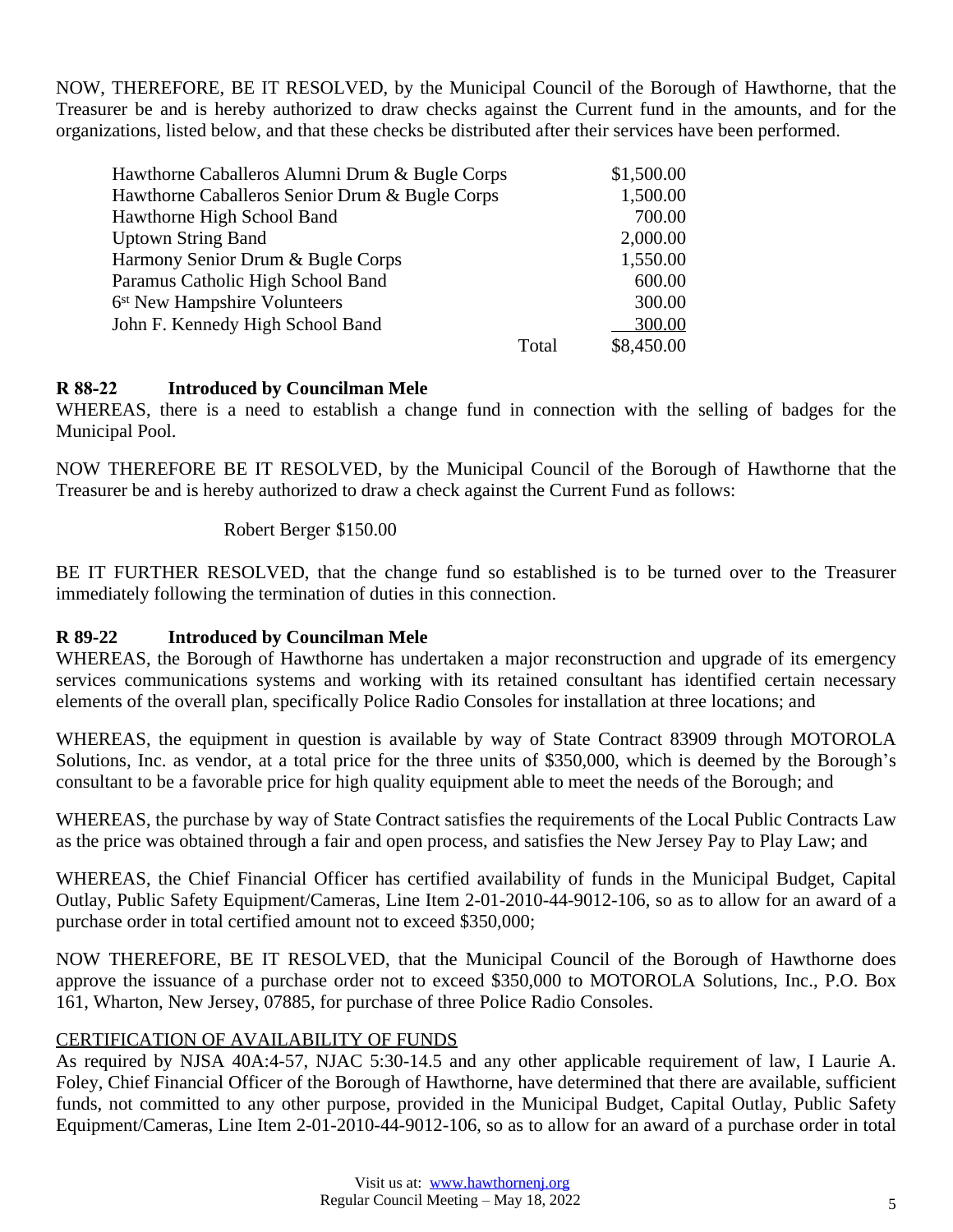NOW, THEREFORE, BE IT RESOLVED, by the Municipal Council of the Borough of Hawthorne, that the Treasurer be and is hereby authorized to draw checks against the Current fund in the amounts, and for the organizations, listed below, and that these checks be distributed after their services have been performed.

| Hawthorne Caballeros Alumni Drum & Bugle Corps |       | \$1,500.00 |
|------------------------------------------------|-------|------------|
| Hawthorne Caballeros Senior Drum & Bugle Corps |       | 1,500.00   |
| Hawthorne High School Band                     |       | 700.00     |
| <b>Uptown String Band</b>                      |       | 2,000.00   |
| Harmony Senior Drum & Bugle Corps              |       | 1,550.00   |
| Paramus Catholic High School Band              |       | 600.00     |
| 6 <sup>st</sup> New Hampshire Volunteers       |       | 300.00     |
| John F. Kennedy High School Band               |       | 300.00     |
|                                                | Total | \$8,450.00 |

## **R 88-22 Introduced by Councilman Mele**

WHEREAS, there is a need to establish a change fund in connection with the selling of badges for the Municipal Pool.

NOW THEREFORE BE IT RESOLVED, by the Municipal Council of the Borough of Hawthorne that the Treasurer be and is hereby authorized to draw a check against the Current Fund as follows:

Robert Berger \$150.00

BE IT FURTHER RESOLVED, that the change fund so established is to be turned over to the Treasurer immediately following the termination of duties in this connection.

# **R 89-22 Introduced by Councilman Mele**

WHEREAS, the Borough of Hawthorne has undertaken a major reconstruction and upgrade of its emergency services communications systems and working with its retained consultant has identified certain necessary elements of the overall plan, specifically Police Radio Consoles for installation at three locations; and

WHEREAS, the equipment in question is available by way of State Contract 83909 through MOTOROLA Solutions, Inc. as vendor, at a total price for the three units of \$350,000, which is deemed by the Borough's consultant to be a favorable price for high quality equipment able to meet the needs of the Borough; and

WHEREAS, the purchase by way of State Contract satisfies the requirements of the Local Public Contracts Law as the price was obtained through a fair and open process, and satisfies the New Jersey Pay to Play Law; and

WHEREAS, the Chief Financial Officer has certified availability of funds in the Municipal Budget, Capital Outlay, Public Safety Equipment/Cameras, Line Item 2-01-2010-44-9012-106, so as to allow for an award of a purchase order in total certified amount not to exceed \$350,000;

NOW THEREFORE, BE IT RESOLVED, that the Municipal Council of the Borough of Hawthorne does approve the issuance of a purchase order not to exceed \$350,000 to MOTOROLA Solutions, Inc., P.O. Box 161, Wharton, New Jersey, 07885, for purchase of three Police Radio Consoles.

## CERTIFICATION OF AVAILABILITY OF FUNDS

As required by NJSA 40A:4-57, NJAC 5:30-14.5 and any other applicable requirement of law, I Laurie A. Foley, Chief Financial Officer of the Borough of Hawthorne, have determined that there are available, sufficient funds, not committed to any other purpose, provided in the Municipal Budget, Capital Outlay, Public Safety Equipment/Cameras, Line Item 2-01-2010-44-9012-106, so as to allow for an award of a purchase order in total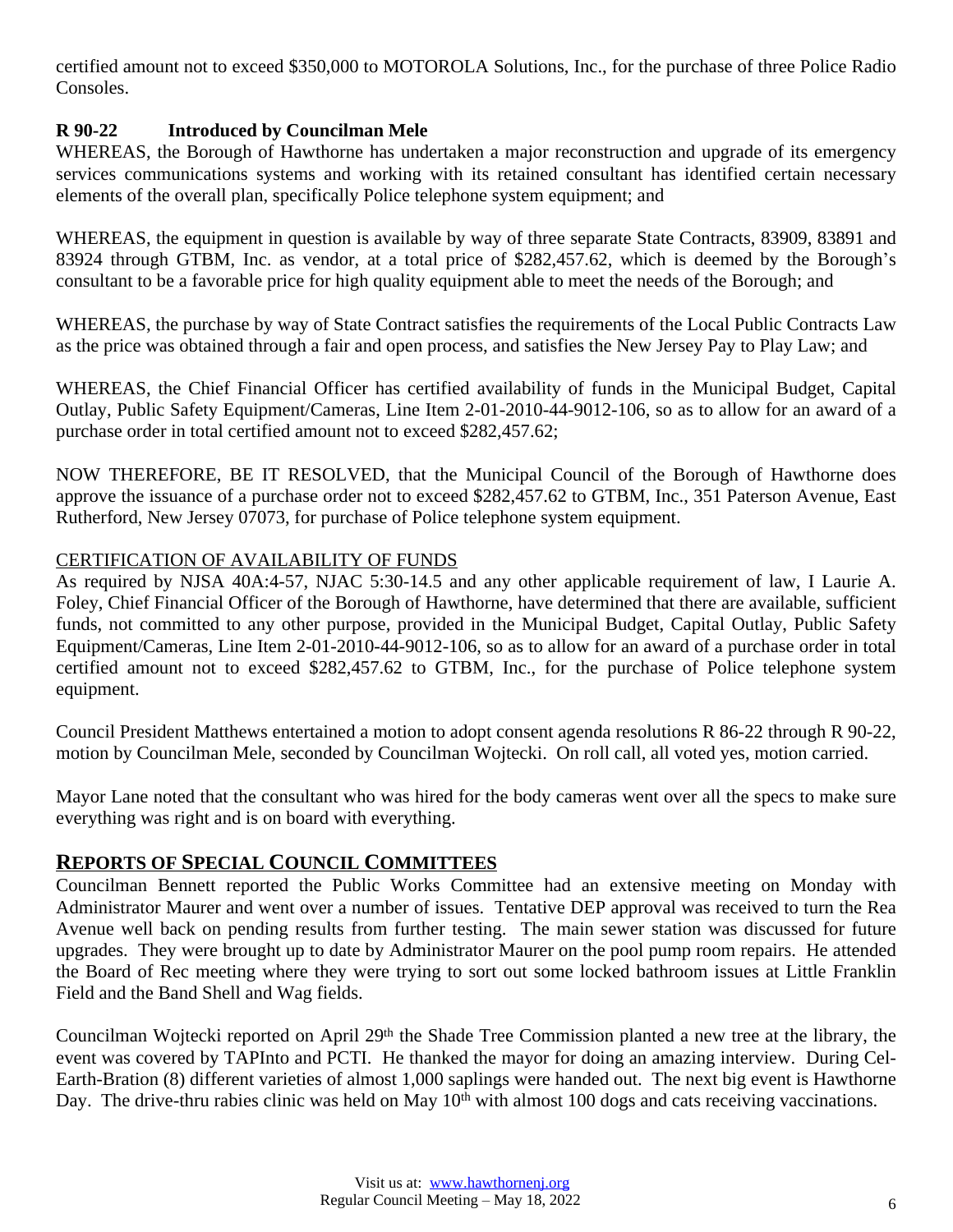certified amount not to exceed \$350,000 to MOTOROLA Solutions, Inc., for the purchase of three Police Radio Consoles.

# **R 90-22 Introduced by Councilman Mele**

WHEREAS, the Borough of Hawthorne has undertaken a major reconstruction and upgrade of its emergency services communications systems and working with its retained consultant has identified certain necessary elements of the overall plan, specifically Police telephone system equipment; and

WHEREAS, the equipment in question is available by way of three separate State Contracts, 83909, 83891 and 83924 through GTBM, Inc. as vendor, at a total price of \$282,457.62, which is deemed by the Borough's consultant to be a favorable price for high quality equipment able to meet the needs of the Borough; and

WHEREAS, the purchase by way of State Contract satisfies the requirements of the Local Public Contracts Law as the price was obtained through a fair and open process, and satisfies the New Jersey Pay to Play Law; and

WHEREAS, the Chief Financial Officer has certified availability of funds in the Municipal Budget, Capital Outlay, Public Safety Equipment/Cameras, Line Item 2-01-2010-44-9012-106, so as to allow for an award of a purchase order in total certified amount not to exceed \$282,457.62;

NOW THEREFORE, BE IT RESOLVED, that the Municipal Council of the Borough of Hawthorne does approve the issuance of a purchase order not to exceed \$282,457.62 to GTBM, Inc., 351 Paterson Avenue, East Rutherford, New Jersey 07073, for purchase of Police telephone system equipment.

## CERTIFICATION OF AVAILABILITY OF FUNDS

As required by NJSA 40A:4-57, NJAC 5:30-14.5 and any other applicable requirement of law, I Laurie A. Foley, Chief Financial Officer of the Borough of Hawthorne, have determined that there are available, sufficient funds, not committed to any other purpose, provided in the Municipal Budget, Capital Outlay, Public Safety Equipment/Cameras, Line Item 2-01-2010-44-9012-106, so as to allow for an award of a purchase order in total certified amount not to exceed \$282,457.62 to GTBM, Inc., for the purchase of Police telephone system equipment.

Council President Matthews entertained a motion to adopt consent agenda resolutions R 86-22 through R 90-22, motion by Councilman Mele, seconded by Councilman Wojtecki. On roll call, all voted yes, motion carried.

Mayor Lane noted that the consultant who was hired for the body cameras went over all the specs to make sure everything was right and is on board with everything.

# **REPORTS OF SPECIAL COUNCIL COMMITTEES**

Councilman Bennett reported the Public Works Committee had an extensive meeting on Monday with Administrator Maurer and went over a number of issues. Tentative DEP approval was received to turn the Rea Avenue well back on pending results from further testing. The main sewer station was discussed for future upgrades. They were brought up to date by Administrator Maurer on the pool pump room repairs. He attended the Board of Rec meeting where they were trying to sort out some locked bathroom issues at Little Franklin Field and the Band Shell and Wag fields.

Councilman Wojtecki reported on April 29<sup>th</sup> the Shade Tree Commission planted a new tree at the library, the event was covered by TAPInto and PCTI. He thanked the mayor for doing an amazing interview. During Cel-Earth-Bration (8) different varieties of almost 1,000 saplings were handed out. The next big event is Hawthorne Day. The drive-thru rabies clinic was held on May 10<sup>th</sup> with almost 100 dogs and cats receiving vaccinations.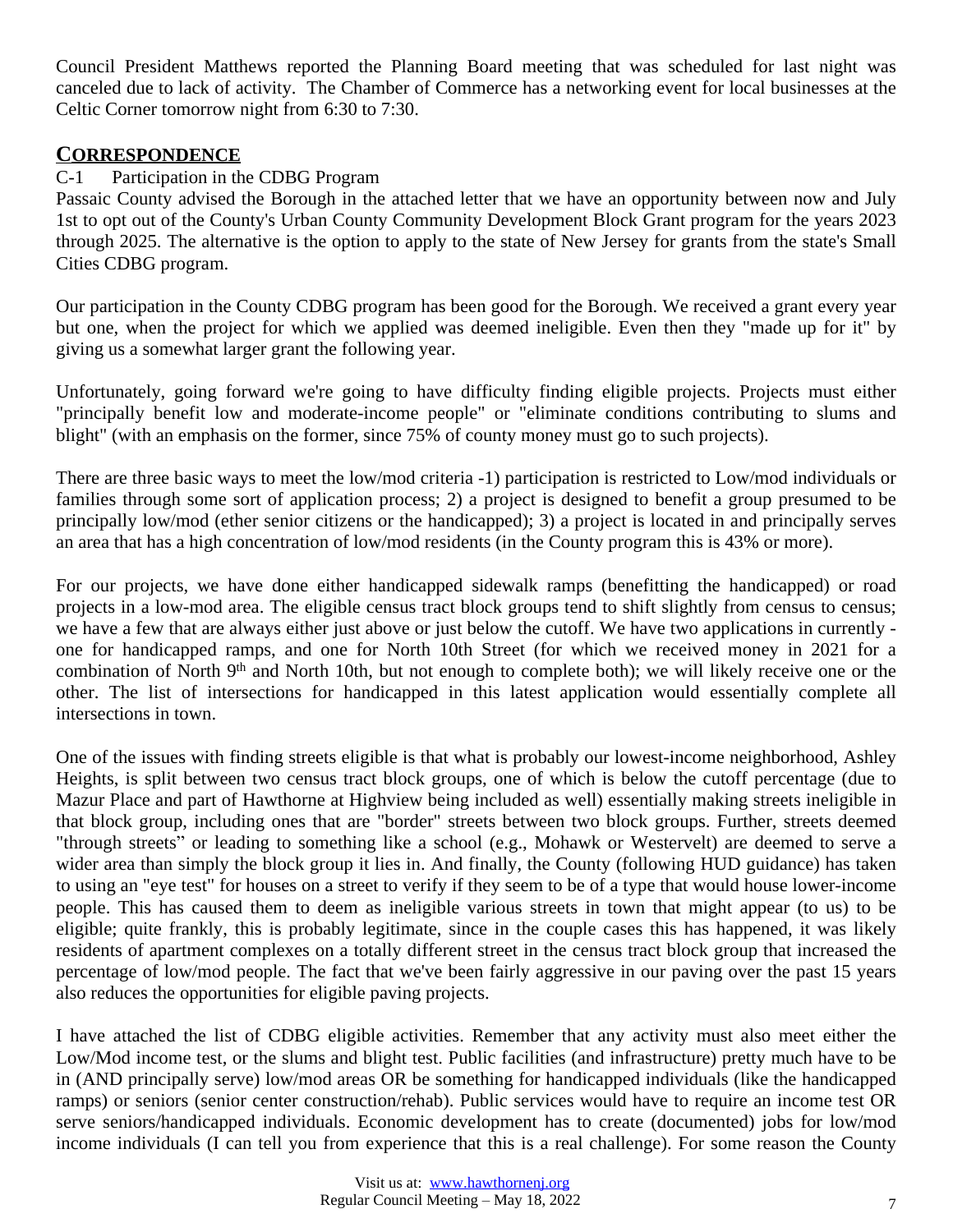Council President Matthews reported the Planning Board meeting that was scheduled for last night was canceled due to lack of activity. The Chamber of Commerce has a networking event for local businesses at the Celtic Corner tomorrow night from 6:30 to 7:30.

## **CORRESPONDENCE**

## C-1 Participation in the CDBG Program

Passaic County advised the Borough in the attached letter that we have an opportunity between now and July 1st to opt out of the County's Urban County Community Development Block Grant program for the years 2023 through 2025. The alternative is the option to apply to the state of New Jersey for grants from the state's Small Cities CDBG program.

Our participation in the County CDBG program has been good for the Borough. We received a grant every year but one, when the project for which we applied was deemed ineligible. Even then they "made up for it" by giving us a somewhat larger grant the following year.

Unfortunately, going forward we're going to have difficulty finding eligible projects. Projects must either "principally benefit low and moderate-income people" or "eliminate conditions contributing to slums and blight" (with an emphasis on the former, since 75% of county money must go to such projects).

There are three basic ways to meet the low/mod criteria -1) participation is restricted to Low/mod individuals or families through some sort of application process; 2) a project is designed to benefit a group presumed to be principally low/mod (ether senior citizens or the handicapped); 3) a project is located in and principally serves an area that has a high concentration of low/mod residents (in the County program this is 43% or more).

For our projects, we have done either handicapped sidewalk ramps (benefitting the handicapped) or road projects in a low-mod area. The eligible census tract block groups tend to shift slightly from census to census; we have a few that are always either just above or just below the cutoff. We have two applications in currently one for handicapped ramps, and one for North 10th Street (for which we received money in 2021 for a combination of North 9<sup>th</sup> and North 10th, but not enough to complete both); we will likely receive one or the other. The list of intersections for handicapped in this latest application would essentially complete all intersections in town.

One of the issues with finding streets eligible is that what is probably our lowest-income neighborhood, Ashley Heights, is split between two census tract block groups, one of which is below the cutoff percentage (due to Mazur Place and part of Hawthorne at Highview being included as well) essentially making streets ineligible in that block group, including ones that are "border" streets between two block groups. Further, streets deemed "through streets" or leading to something like a school (e.g., Mohawk or Westervelt) are deemed to serve a wider area than simply the block group it lies in. And finally, the County (following HUD guidance) has taken to using an "eye test" for houses on a street to verify if they seem to be of a type that would house lower-income people. This has caused them to deem as ineligible various streets in town that might appear (to us) to be eligible; quite frankly, this is probably legitimate, since in the couple cases this has happened, it was likely residents of apartment complexes on a totally different street in the census tract block group that increased the percentage of low/mod people. The fact that we've been fairly aggressive in our paving over the past 15 years also reduces the opportunities for eligible paving projects.

I have attached the list of CDBG eligible activities. Remember that any activity must also meet either the Low/Mod income test, or the slums and blight test. Public facilities (and infrastructure) pretty much have to be in (AND principally serve) low/mod areas OR be something for handicapped individuals (like the handicapped ramps) or seniors (senior center construction/rehab). Public services would have to require an income test OR serve seniors/handicapped individuals. Economic development has to create (documented) jobs for low/mod income individuals (I can tell you from experience that this is a real challenge). For some reason the County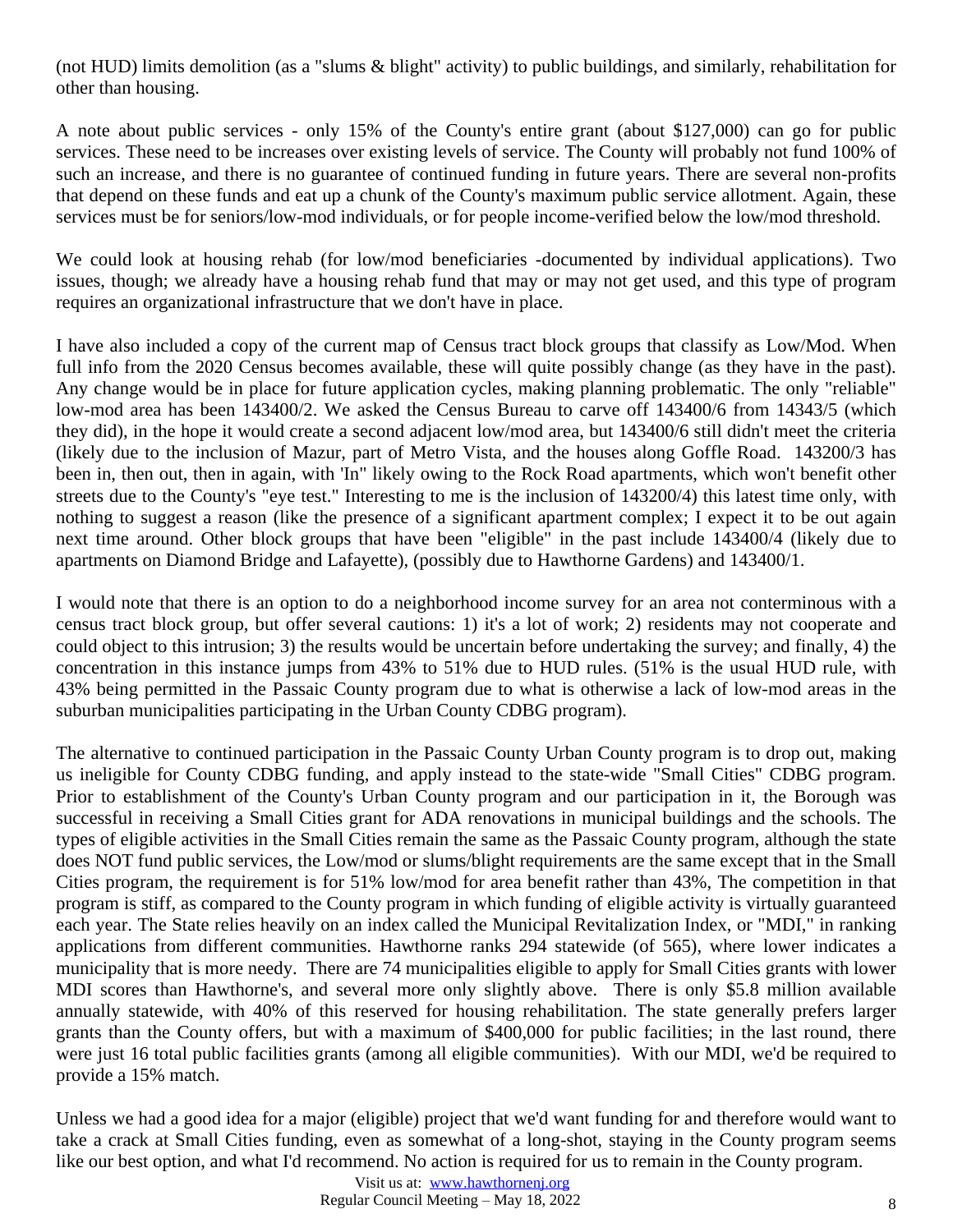(not HUD) limits demolition (as a "slums & blight" activity) to public buildings, and similarly, rehabilitation for other than housing.

A note about public services - only 15% of the County's entire grant (about \$127,000) can go for public services. These need to be increases over existing levels of service. The County will probably not fund 100% of such an increase, and there is no guarantee of continued funding in future years. There are several non-profits that depend on these funds and eat up a chunk of the County's maximum public service allotment. Again, these services must be for seniors/low-mod individuals, or for people income-verified below the low/mod threshold.

We could look at housing rehab (for low/mod beneficiaries -documented by individual applications). Two issues, though; we already have a housing rehab fund that may or may not get used, and this type of program requires an organizational infrastructure that we don't have in place.

I have also included a copy of the current map of Census tract block groups that classify as Low/Mod. When full info from the 2020 Census becomes available, these will quite possibly change (as they have in the past). Any change would be in place for future application cycles, making planning problematic. The only "reliable" low-mod area has been 143400/2. We asked the Census Bureau to carve off 143400/6 from 14343/5 (which they did), in the hope it would create a second adjacent low/mod area, but 143400/6 still didn't meet the criteria (likely due to the inclusion of Mazur, part of Metro Vista, and the houses along Goffle Road. 143200/3 has been in, then out, then in again, with 'In" likely owing to the Rock Road apartments, which won't benefit other streets due to the County's "eye test." Interesting to me is the inclusion of 143200/4) this latest time only, with nothing to suggest a reason (like the presence of a significant apartment complex; I expect it to be out again next time around. Other block groups that have been "eligible" in the past include 143400/4 (likely due to apartments on Diamond Bridge and Lafayette), (possibly due to Hawthorne Gardens) and 143400/1.

I would note that there is an option to do a neighborhood income survey for an area not conterminous with a census tract block group, but offer several cautions: 1) it's a lot of work; 2) residents may not cooperate and could object to this intrusion; 3) the results would be uncertain before undertaking the survey; and finally, 4) the concentration in this instance jumps from 43% to 51% due to HUD rules. (51% is the usual HUD rule, with 43% being permitted in the Passaic County program due to what is otherwise a lack of low-mod areas in the suburban municipalities participating in the Urban County CDBG program).

The alternative to continued participation in the Passaic County Urban County program is to drop out, making us ineligible for County CDBG funding, and apply instead to the state-wide "Small Cities" CDBG program. Prior to establishment of the County's Urban County program and our participation in it, the Borough was successful in receiving a Small Cities grant for ADA renovations in municipal buildings and the schools. The types of eligible activities in the Small Cities remain the same as the Passaic County program, although the state does NOT fund public services, the Low/mod or slums/blight requirements are the same except that in the Small Cities program, the requirement is for 51% low/mod for area benefit rather than 43%, The competition in that program is stiff, as compared to the County program in which funding of eligible activity is virtually guaranteed each year. The State relies heavily on an index called the Municipal Revitalization Index, or "MDI," in ranking applications from different communities. Hawthorne ranks 294 statewide (of 565), where lower indicates a municipality that is more needy. There are 74 municipalities eligible to apply for Small Cities grants with lower MDI scores than Hawthorne's, and several more only slightly above. There is only \$5.8 million available annually statewide, with 40% of this reserved for housing rehabilitation. The state generally prefers larger grants than the County offers, but with a maximum of \$400,000 for public facilities; in the last round, there were just 16 total public facilities grants (among all eligible communities). With our MDI, we'd be required to provide a 15% match.

Unless we had a good idea for a major (eligible) project that we'd want funding for and therefore would want to take a crack at Small Cities funding, even as somewhat of a long-shot, staying in the County program seems like our best option, and what I'd recommend. No action is required for us to remain in the County program.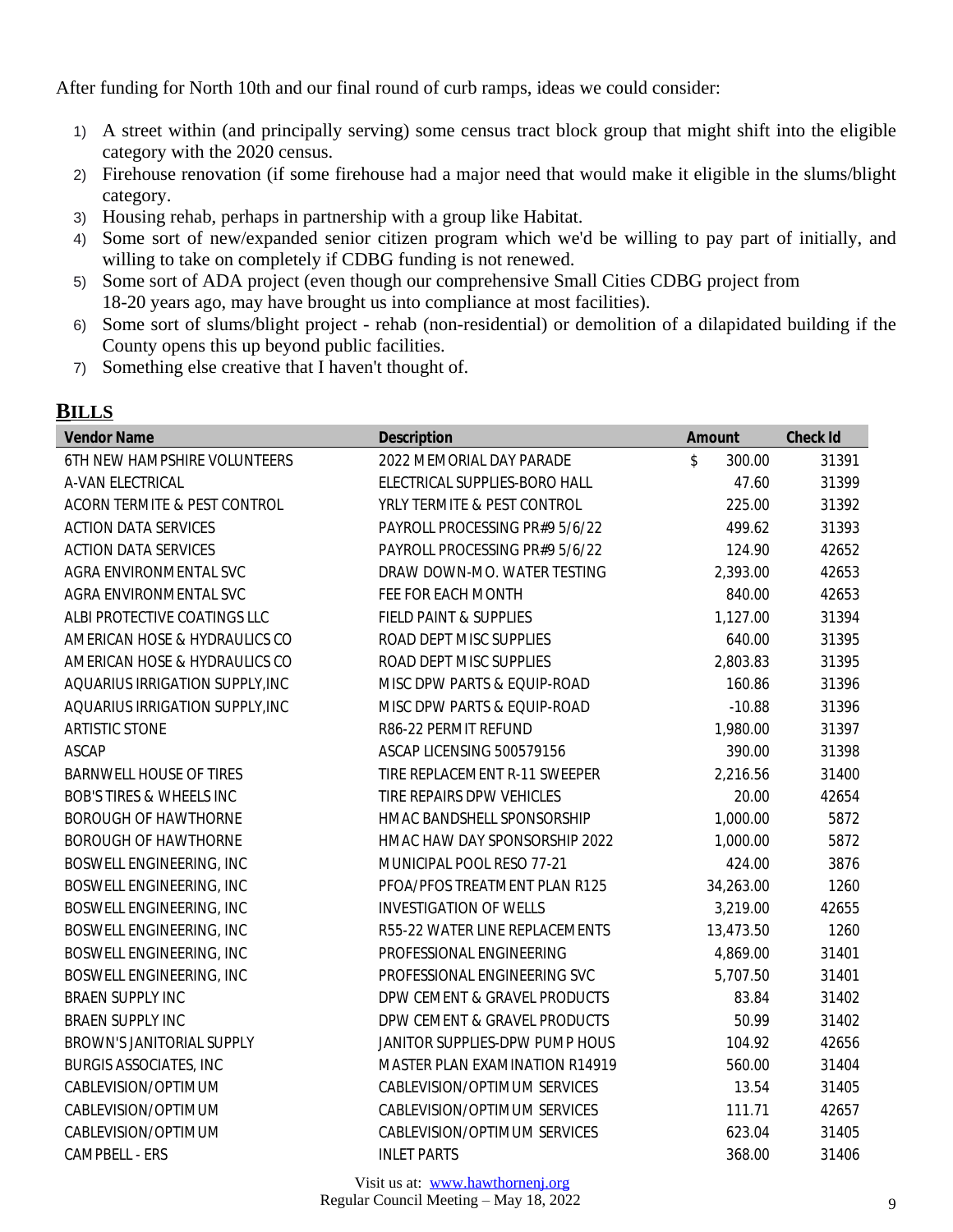After funding for North 10th and our final round of curb ramps, ideas we could consider:

- 1) A street within (and principally serving) some census tract block group that might shift into the eligible category with the 2020 census.
- 2) Firehouse renovation (if some firehouse had a major need that would make it eligible in the slums/blight category.
- 3) Housing rehab, perhaps in partnership with a group like Habitat.
- 4) Some sort of new/expanded senior citizen program which we'd be willing to pay part of initially, and willing to take on completely if CDBG funding is not renewed.
- 5) Some sort of ADA project (even though our comprehensive Small Cities CDBG project from 18-20 years ago, may have brought us into compliance at most facilities).
- 6) Some sort of slums/blight project rehab (non-residential) or demolition of a dilapidated building if the County opens this up beyond public facilities.
- 7) Something else creative that I haven't thought of.

## **BILLS**

| <b>Vendor Name</b>                  | <b>Description</b>             | <b>Amount</b> | <b>Check Id</b> |
|-------------------------------------|--------------------------------|---------------|-----------------|
| 6TH NEW HAMPSHIRE VOLUNTEERS        | 2022 MEMORIAL DAY PARADE       | \$<br>300.00  | 31391           |
| A-VAN ELECTRICAL                    | ELECTRICAL SUPPLIES-BORO HALL  | 47.60         | 31399           |
| ACORN TERMITE & PEST CONTROL        | YRLY TERMITE & PEST CONTROL    | 225.00        | 31392           |
| <b>ACTION DATA SERVICES</b>         | PAYROLL PROCESSING PR#9 5/6/22 | 499.62        | 31393           |
| <b>ACTION DATA SERVICES</b>         | PAYROLL PROCESSING PR#9 5/6/22 | 124.90        | 42652           |
| AGRA ENVIRONMENTAL SVC              | DRAW DOWN-MO. WATER TESTING    | 2,393.00      | 42653           |
| AGRA ENVIRONMENTAL SVC              | FEE FOR EACH MONTH             | 840.00        | 42653           |
| ALBI PROTECTIVE COATINGS LLC        | FIELD PAINT & SUPPLIES         | 1,127.00      | 31394           |
| AMERICAN HOSE & HYDRAULICS CO       | ROAD DEPT MISC SUPPLIES        | 640.00        | 31395           |
| AMERICAN HOSE & HYDRAULICS CO       | ROAD DEPT MISC SUPPLIES        | 2,803.83      | 31395           |
| AQUARIUS IRRIGATION SUPPLY, INC     | MISC DPW PARTS & EQUIP-ROAD    | 160.86        | 31396           |
| AQUARIUS IRRIGATION SUPPLY, INC     | MISC DPW PARTS & EQUIP-ROAD    | $-10.88$      | 31396           |
| <b>ARTISTIC STONE</b>               | R86-22 PERMIT REFUND           | 1,980.00      | 31397           |
| <b>ASCAP</b>                        | ASCAP LICENSING 500579156      | 390.00        | 31398           |
| BARNWELL HOUSE OF TIRES             | TIRE REPLACEMENT R-11 SWEEPER  | 2,216.56      | 31400           |
| <b>BOB'S TIRES &amp; WHEELS INC</b> | TIRE REPAIRS DPW VEHICLES      | 20.00         | 42654           |
| <b>BOROUGH OF HAWTHORNE</b>         | HMAC BANDSHELL SPONSORSHIP     | 1,000.00      | 5872            |
| <b>BOROUGH OF HAWTHORNE</b>         | HMAC HAW DAY SPONSORSHIP 2022  | 1,000.00      | 5872            |
| BOSWELL ENGINEERING, INC            | MUNICIPAL POOL RESO 77-21      | 424.00        | 3876            |
| BOSWELL ENGINEERING, INC            | PFOA/PFOS TREATMENT PLAN R125  | 34,263.00     | 1260            |
| BOSWELL ENGINEERING, INC            | <b>INVESTIGATION OF WELLS</b>  | 3,219.00      | 42655           |
| BOSWELL ENGINEERING, INC            | R55-22 WATER LINE REPLACEMENTS | 13,473.50     | 1260            |
| BOSWELL ENGINEERING, INC            | PROFESSIONAL ENGINEERING       | 4,869.00      | 31401           |
| BOSWELL ENGINEERING, INC            | PROFESSIONAL ENGINEERING SVC   | 5,707.50      | 31401           |
| <b>BRAEN SUPPLY INC</b>             | DPW CEMENT & GRAVEL PRODUCTS   | 83.84         | 31402           |
| <b>BRAEN SUPPLY INC</b>             | DPW CEMENT & GRAVEL PRODUCTS   | 50.99         | 31402           |
| BROWN'S JANITORIAL SUPPLY           | JANITOR SUPPLIES-DPW PUMP HOUS | 104.92        | 42656           |
| <b>BURGIS ASSOCIATES, INC</b>       | MASTER PLAN EXAMINATION R14919 | 560.00        | 31404           |
| CABLEVISION/OPTIMUM                 | CABLEVISION/OPTIMUM SERVICES   | 13.54         | 31405           |
| CABLEVISION/OPTIMUM                 | CABLEVISION/OPTIMUM SERVICES   | 111.71        | 42657           |
| CABLEVISION/OPTIMUM                 | CABLEVISION/OPTIMUM SERVICES   | 623.04        | 31405           |
| CAMPBELL - ERS                      | <b>INLET PARTS</b>             | 368.00        | 31406           |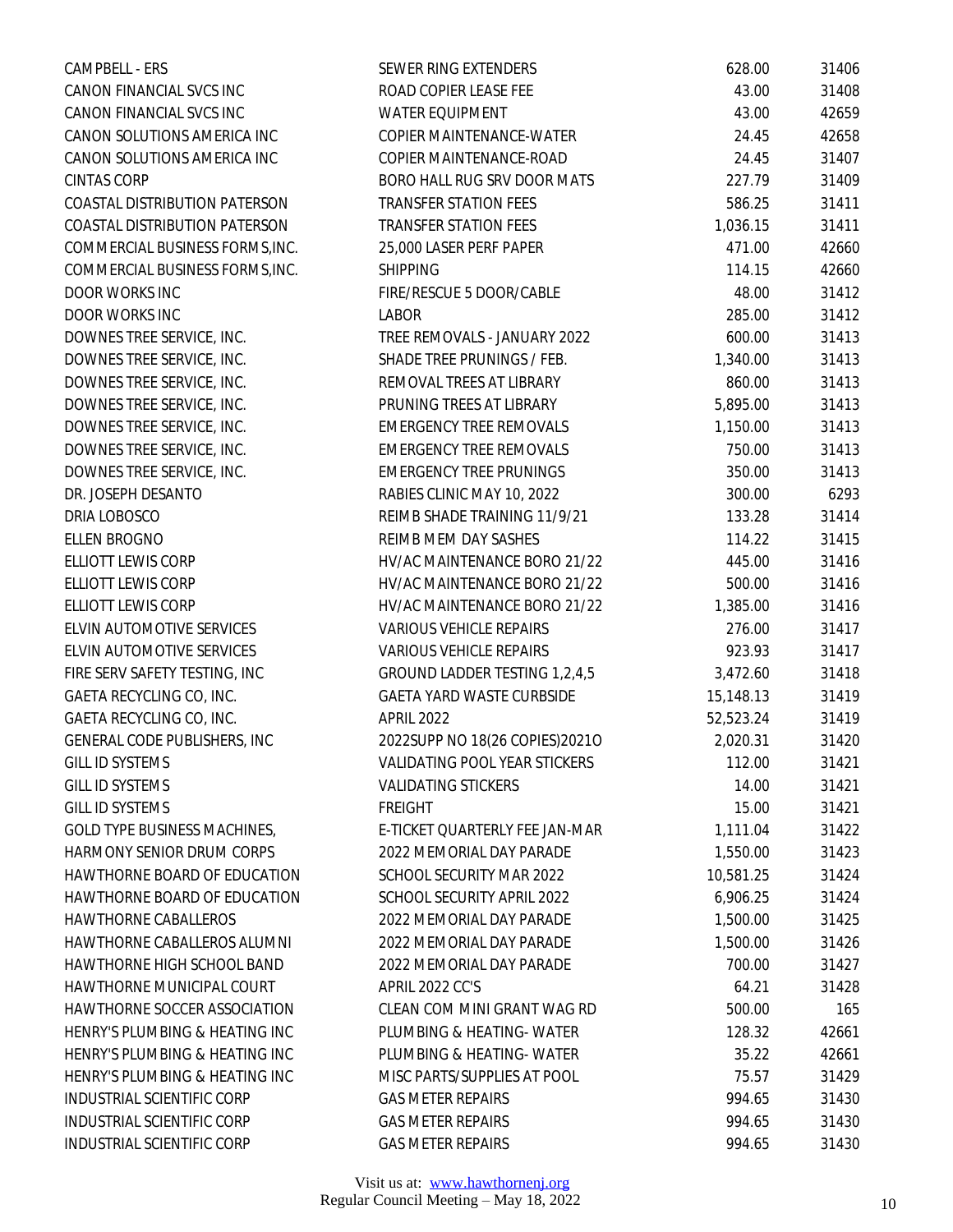| CAMPBELL - ERS                    | <b>SEWER RING EXTENDERS</b>          | 628.00    | 31406 |
|-----------------------------------|--------------------------------------|-----------|-------|
| CANON FINANCIAL SVCS INC          | ROAD COPIER LEASE FEE                | 43.00     | 31408 |
| CANON FINANCIAL SVCS INC          | <b>WATER EQUIPMENT</b>               | 43.00     | 42659 |
| CANON SOLUTIONS AMERICA INC       | COPIER MAINTENANCE-WATER             | 24.45     | 42658 |
| CANON SOLUTIONS AMERICA INC       | COPIER MAINTENANCE-ROAD              | 24.45     | 31407 |
| <b>CINTAS CORP</b>                | BORO HALL RUG SRV DOOR MATS          | 227.79    | 31409 |
| COASTAL DISTRIBUTION PATERSON     | <b>TRANSFER STATION FEES</b>         | 586.25    | 31411 |
| COASTAL DISTRIBUTION PATERSON     | <b>TRANSFER STATION FEES</b>         | 1,036.15  | 31411 |
| COMMERCIAL BUSINESS FORMS, INC.   | 25,000 LASER PERF PAPER              | 471.00    | 42660 |
| COMMERCIAL BUSINESS FORMS, INC.   | <b>SHIPPING</b>                      | 114.15    | 42660 |
| DOOR WORKS INC                    | FIRE/RESCUE 5 DOOR/CABLE             | 48.00     | 31412 |
| DOOR WORKS INC                    | LABOR                                | 285.00    | 31412 |
| DOWNES TREE SERVICE, INC.         | TREE REMOVALS - JANUARY 2022         | 600.00    | 31413 |
| DOWNES TREE SERVICE, INC.         | SHADE TREE PRUNINGS / FEB.           | 1,340.00  | 31413 |
| DOWNES TREE SERVICE, INC.         | REMOVAL TREES AT LIBRARY             | 860.00    | 31413 |
| DOWNES TREE SERVICE, INC.         | PRUNING TREES AT LIBRARY             | 5,895.00  | 31413 |
| DOWNES TREE SERVICE, INC.         | <b>EMERGENCY TREE REMOVALS</b>       | 1,150.00  | 31413 |
| DOWNES TREE SERVICE, INC.         | <b>EMERGENCY TREE REMOVALS</b>       | 750.00    | 31413 |
| DOWNES TREE SERVICE, INC.         | <b>EMERGENCY TREE PRUNINGS</b>       | 350.00    | 31413 |
| DR. JOSEPH DESANTO                | RABIES CLINIC MAY 10, 2022           | 300.00    | 6293  |
| DRIA LOBOSCO                      | REIMB SHADE TRAINING 11/9/21         | 133.28    | 31414 |
| ELLEN BROGNO                      | REIMB MEM DAY SASHES                 | 114.22    | 31415 |
| ELLIOTT LEWIS CORP                | HV/AC MAINTENANCE BORO 21/22         | 445.00    | 31416 |
| ELLIOTT LEWIS CORP                | HV/AC MAINTENANCE BORO 21/22         | 500.00    | 31416 |
| ELLIOTT LEWIS CORP                | HV/AC MAINTENANCE BORO 21/22         | 1,385.00  | 31416 |
| ELVIN AUTOMOTIVE SERVICES         | <b>VARIOUS VEHICLE REPAIRS</b>       | 276.00    | 31417 |
| ELVIN AUTOMOTIVE SERVICES         | <b>VARIOUS VEHICLE REPAIRS</b>       | 923.93    | 31417 |
| FIRE SERV SAFETY TESTING, INC     | GROUND LADDER TESTING 1,2,4,5        | 3,472.60  | 31418 |
| GAETA RECYCLING CO, INC.          | GAETA YARD WASTE CURBSIDE            | 15,148.13 | 31419 |
| GAETA RECYCLING CO, INC.          | <b>APRIL 2022</b>                    | 52,523.24 | 31419 |
| GENERAL CODE PUBLISHERS, INC      | 2022SUPP NO 18(26 COPIES)2021O       | 2,020.31  | 31420 |
| GILL ID SYSTEMS                   | <b>VALIDATING POOL YEAR STICKERS</b> | 112.00    | 31421 |
| <b>GILL ID SYSTEMS</b>            | <b>VALIDATING STICKERS</b>           | 14.00     | 31421 |
| <b>GILL ID SYSTEMS</b>            | <b>FREIGHT</b>                       | 15.00     | 31421 |
| GOLD TYPE BUSINESS MACHINES,      | E-TICKET QUARTERLY FEE JAN-MAR       | 1,111.04  | 31422 |
| HARMONY SENIOR DRUM CORPS         | 2022 MEMORIAL DAY PARADE             | 1,550.00  | 31423 |
| HAWTHORNE BOARD OF EDUCATION      | SCHOOL SECURITY MAR 2022             | 10,581.25 | 31424 |
| HAWTHORNE BOARD OF EDUCATION      | SCHOOL SECURITY APRIL 2022           | 6,906.25  | 31424 |
| <b>HAWTHORNE CABALLEROS</b>       | 2022 MEMORIAL DAY PARADE             | 1,500.00  | 31425 |
| HAWTHORNE CABALLEROS ALUMNI       | 2022 MEMORIAL DAY PARADE             | 1,500.00  | 31426 |
| HAWTHORNE HIGH SCHOOL BAND        | 2022 MEMORIAL DAY PARADE             | 700.00    | 31427 |
| HAWTHORNE MUNICIPAL COURT         | <b>APRIL 2022 CC'S</b>               | 64.21     | 31428 |
| HAWTHORNE SOCCER ASSOCIATION      | CLEAN COM MINI GRANT WAG RD          | 500.00    | 165   |
| HENRY'S PLUMBING & HEATING INC    | PLUMBING & HEATING-WATER             | 128.32    | 42661 |
| HENRY'S PLUMBING & HEATING INC    | PLUMBING & HEATING-WATER             | 35.22     | 42661 |
| HENRY'S PLUMBING & HEATING INC    | MISC PARTS/SUPPLIES AT POOL          | 75.57     | 31429 |
| <b>INDUSTRIAL SCIENTIFIC CORP</b> | <b>GAS METER REPAIRS</b>             | 994.65    | 31430 |
| INDUSTRIAL SCIENTIFIC CORP        | <b>GAS METER REPAIRS</b>             | 994.65    | 31430 |
| INDUSTRIAL SCIENTIFIC CORP        | <b>GAS METER REPAIRS</b>             | 994.65    | 31430 |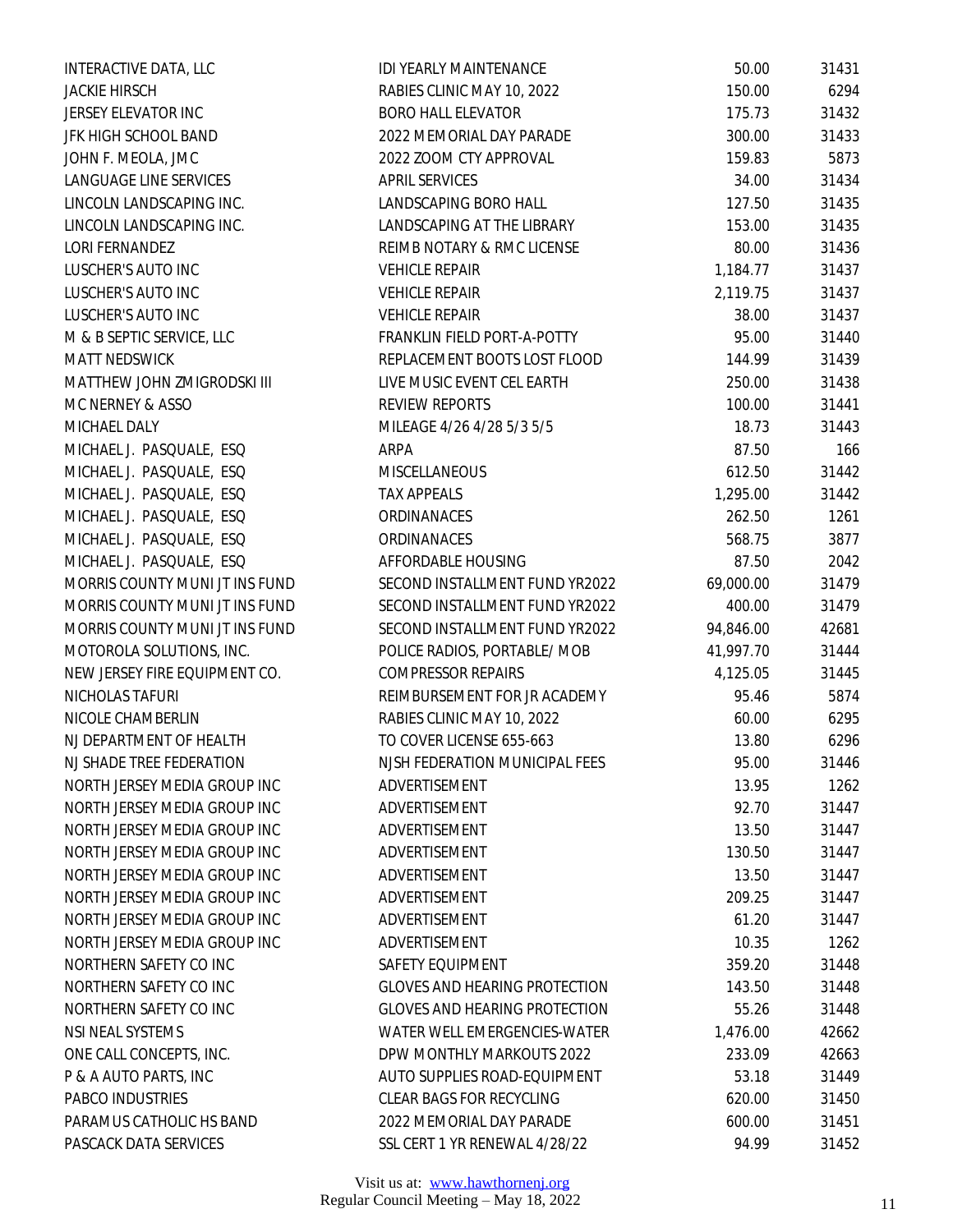| INTERACTIVE DATA, LLC          | <b>IDI YEARLY MAINTENANCE</b>        | 50.00     | 31431 |
|--------------------------------|--------------------------------------|-----------|-------|
| <b>JACKIE HIRSCH</b>           | RABIES CLINIC MAY 10, 2022           | 150.00    | 6294  |
| JERSEY ELEVATOR INC            | <b>BORO HALL ELEVATOR</b>            | 175.73    | 31432 |
| JFK HIGH SCHOOL BAND           | 2022 MEMORIAL DAY PARADE             | 300.00    | 31433 |
| JOHN F. MEOLA, JMC             | 2022 ZOOM CTY APPROVAL               | 159.83    | 5873  |
| LANGUAGE LINE SERVICES         | APRIL SERVICES                       | 34.00     | 31434 |
| LINCOLN LANDSCAPING INC.       | LANDSCAPING BORO HALL                | 127.50    | 31435 |
| LINCOLN LANDSCAPING INC.       | LANDSCAPING AT THE LIBRARY           | 153.00    | 31435 |
| LORI FERNANDEZ                 | REIMB NOTARY & RMC LICENSE           | 80.00     | 31436 |
| <b>LUSCHER'S AUTO INC</b>      | <b>VEHICLE REPAIR</b>                | 1,184.77  | 31437 |
| LUSCHER'S AUTO INC             | <b>VEHICLE REPAIR</b>                | 2,119.75  | 31437 |
| LUSCHER'S AUTO INC             | <b>VEHICLE REPAIR</b>                | 38.00     | 31437 |
| M & B SEPTIC SERVICE, LLC      | FRANKLIN FIELD PORT-A-POTTY          | 95.00     | 31440 |
| MATT NEDSWICK                  | REPLACEMENT BOOTS LOST FLOOD         | 144.99    | 31439 |
| MATTHEW JOHN ZMIGRODSKI III    | LIVE MUSIC EVENT CEL EARTH           | 250.00    | 31438 |
| MC NERNEY & ASSO               | <b>REVIEW REPORTS</b>                | 100.00    | 31441 |
| MICHAEL DALY                   | MILEAGE 4/26 4/28 5/3 5/5            | 18.73     | 31443 |
| MICHAEL J. PASQUALE, ESQ       | ARPA                                 | 87.50     | 166   |
| MICHAEL J. PASQUALE, ESQ       | MISCELLANEOUS                        | 612.50    | 31442 |
| MICHAEL J. PASQUALE, ESQ       | <b>TAX APPEALS</b>                   | 1,295.00  | 31442 |
| MICHAEL J. PASQUALE, ESQ       | ORDINANACES                          | 262.50    | 1261  |
| MICHAEL J. PASQUALE, ESQ       | ORDINANACES                          | 568.75    | 3877  |
| MICHAEL J. PASQUALE, ESQ       | AFFORDABLE HOUSING                   | 87.50     | 2042  |
| MORRIS COUNTY MUNI JT INS FUND | SECOND INSTALLMENT FUND YR2022       | 69,000.00 | 31479 |
| MORRIS COUNTY MUNI JT INS FUND | SECOND INSTALLMENT FUND YR2022       | 400.00    | 31479 |
| MORRIS COUNTY MUNI JT INS FUND | SECOND INSTALLMENT FUND YR2022       | 94,846.00 | 42681 |
| MOTOROLA SOLUTIONS, INC.       | POLICE RADIOS, PORTABLE/ MOB         | 41,997.70 | 31444 |
| NEW JERSEY FIRE EQUIPMENT CO.  | <b>COMPRESSOR REPAIRS</b>            | 4,125.05  | 31445 |
| NICHOLAS TAFURI                | REIMBURSEMENT FOR JR ACADEMY         | 95.46     | 5874  |
| NICOLE CHAMBERLIN              | RABIES CLINIC MAY 10, 2022           | 60.00     | 6295  |
| NJ DEPARTMENT OF HEALTH        | TO COVER LICENSE 655-663             | 13.80     | 6296  |
| NJ SHADE TREE FEDERATION       | NJSH FEDERATION MUNICIPAL FEES       | 95.00     | 31446 |
| NORTH JERSEY MEDIA GROUP INC   | ADVERTISEMENT                        | 13.95     | 1262  |
| NORTH JERSEY MEDIA GROUP INC   | ADVERTISEMENT                        | 92.70     | 31447 |
| NORTH JERSEY MEDIA GROUP INC   | ADVERTISEMENT                        | 13.50     | 31447 |
| NORTH JERSEY MEDIA GROUP INC   | ADVERTISEMENT                        | 130.50    | 31447 |
| NORTH JERSEY MEDIA GROUP INC   | ADVERTISEMENT                        | 13.50     | 31447 |
| NORTH JERSEY MEDIA GROUP INC   | ADVERTISEMENT                        | 209.25    | 31447 |
| NORTH JERSEY MEDIA GROUP INC   | ADVERTISEMENT                        | 61.20     | 31447 |
| NORTH JERSEY MEDIA GROUP INC   | ADVERTISEMENT                        | 10.35     | 1262  |
| NORTHERN SAFETY CO INC         | SAFETY EQUIPMENT                     | 359.20    | 31448 |
| NORTHERN SAFETY CO INC         | <b>GLOVES AND HEARING PROTECTION</b> | 143.50    | 31448 |
| NORTHERN SAFETY CO INC         | <b>GLOVES AND HEARING PROTECTION</b> | 55.26     | 31448 |
| NSI NEAL SYSTEMS               | WATER WELL EMERGENCIES-WATER         | 1,476.00  | 42662 |
| ONE CALL CONCEPTS, INC.        | DPW MONTHLY MARKOUTS 2022            | 233.09    | 42663 |
| P & A AUTO PARTS, INC          | AUTO SUPPLIES ROAD-EQUIPMENT         | 53.18     | 31449 |
| PABCO INDUSTRIES               | <b>CLEAR BAGS FOR RECYCLING</b>      | 620.00    | 31450 |
| PARAMUS CATHOLIC HS BAND       | 2022 MEMORIAL DAY PARADE             | 600.00    | 31451 |
| PASCACK DATA SERVICES          | SSL CERT 1 YR RENEWAL 4/28/22        | 94.99     | 31452 |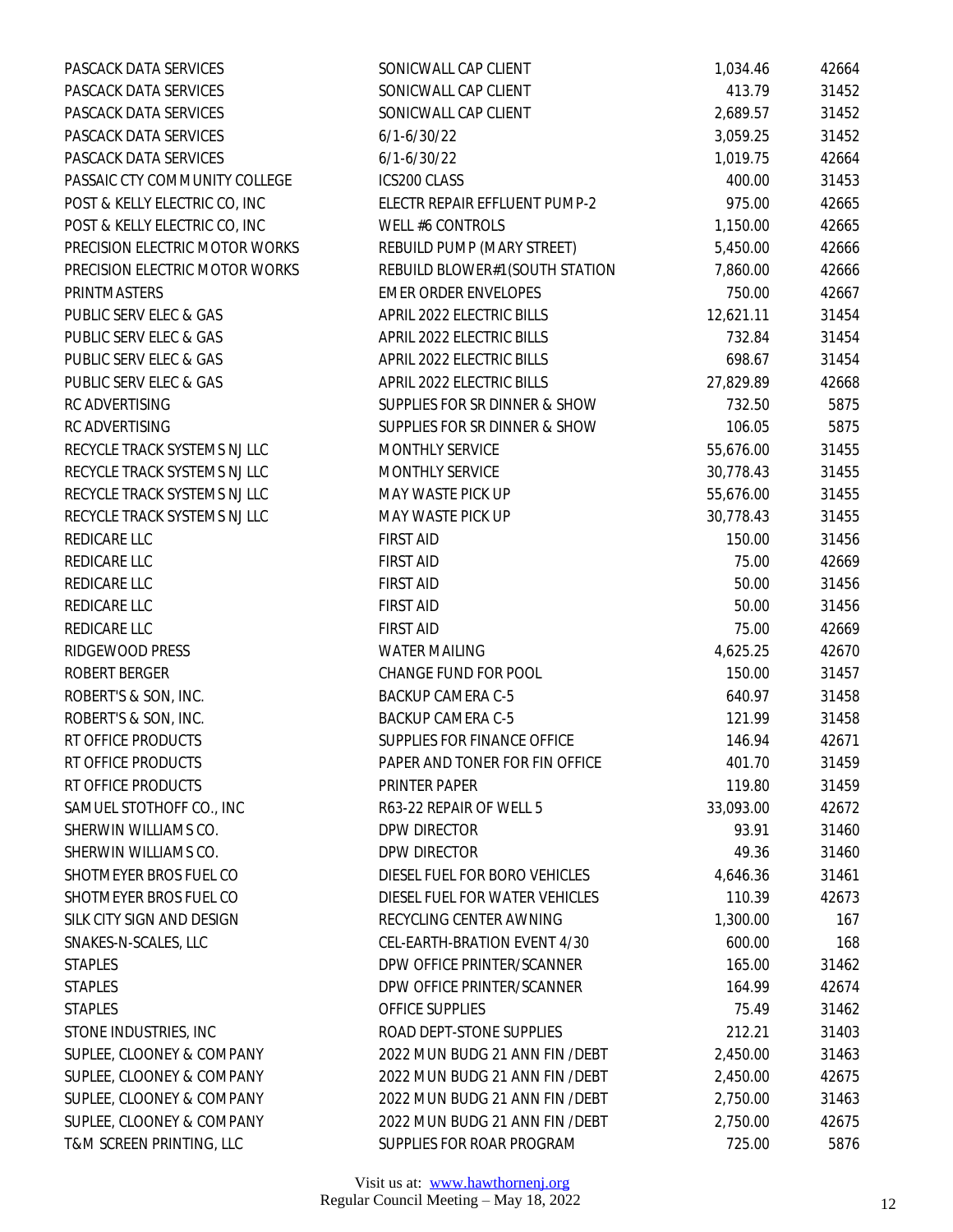| PASCACK DATA SERVICES          | SONICWALL CAP CLIENT            | 1,034.46  | 42664 |
|--------------------------------|---------------------------------|-----------|-------|
| PASCACK DATA SERVICES          | SONICWALL CAP CLIENT            | 413.79    | 31452 |
| PASCACK DATA SERVICES          | SONICWALL CAP CLIENT            | 2,689.57  | 31452 |
| PASCACK DATA SERVICES          | $6/1 - 6/30/22$                 | 3,059.25  | 31452 |
| PASCACK DATA SERVICES          | $6/1 - 6/30/22$                 | 1,019.75  | 42664 |
| PASSAIC CTY COMMUNITY COLLEGE  | ICS200 CLASS                    | 400.00    | 31453 |
| POST & KELLY ELECTRIC CO, INC  | ELECTR REPAIR EFFLUENT PUMP-2   | 975.00    | 42665 |
| POST & KELLY ELECTRIC CO, INC  | WELL #6 CONTROLS                | 1,150.00  | 42665 |
| PRECISION ELECTRIC MOTOR WORKS | REBUILD PUMP (MARY STREET)      | 5,450.00  | 42666 |
| PRECISION ELECTRIC MOTOR WORKS | REBUILD BLOWER#1(SOUTH STATION  | 7,860.00  | 42666 |
| PRINTMASTERS                   | <b>EMER ORDER ENVELOPES</b>     | 750.00    | 42667 |
| PUBLIC SERV ELEC & GAS         | APRIL 2022 ELECTRIC BILLS       | 12,621.11 | 31454 |
| PUBLIC SERV ELEC & GAS         | APRIL 2022 ELECTRIC BILLS       | 732.84    | 31454 |
| PUBLIC SERV ELEC & GAS         | APRIL 2022 ELECTRIC BILLS       | 698.67    | 31454 |
| PUBLIC SERV ELEC & GAS         | APRIL 2022 ELECTRIC BILLS       | 27,829.89 | 42668 |
| RC ADVERTISING                 | SUPPLIES FOR SR DINNER & SHOW   | 732.50    | 5875  |
| RC ADVERTISING                 | SUPPLIES FOR SR DINNER & SHOW   | 106.05    | 5875  |
| RECYCLE TRACK SYSTEMS NJ LLC   | MONTHLY SERVICE                 | 55,676.00 | 31455 |
| RECYCLE TRACK SYSTEMS NJ LLC   | MONTHLY SERVICE                 | 30,778.43 | 31455 |
| RECYCLE TRACK SYSTEMS NJ LLC   | MAY WASTE PICK UP               | 55,676.00 | 31455 |
| RECYCLE TRACK SYSTEMS NJ LLC   | MAY WASTE PICK UP               | 30,778.43 | 31455 |
| REDICARE LLC                   | <b>FIRST AID</b>                | 150.00    | 31456 |
| REDICARE LLC                   | <b>FIRST AID</b>                | 75.00     | 42669 |
| REDICARE LLC                   | <b>FIRST AID</b>                | 50.00     | 31456 |
| REDICARE LLC                   | <b>FIRST AID</b>                | 50.00     | 31456 |
| REDICARE LLC                   | <b>FIRST AID</b>                | 75.00     | 42669 |
| RIDGEWOOD PRESS                | <b>WATER MAILING</b>            | 4,625.25  | 42670 |
| ROBERT BERGER                  | CHANGE FUND FOR POOL            | 150.00    | 31457 |
| ROBERT'S & SON, INC.           | <b>BACKUP CAMERA C-5</b>        | 640.97    | 31458 |
| ROBERT'S & SON, INC.           | <b>BACKUP CAMERA C-5</b>        | 121.99    | 31458 |
| RT OFFICE PRODUCTS             | SUPPLIES FOR FINANCE OFFICE     | 146.94    | 42671 |
| RT OFFICE PRODUCTS             | PAPER AND TONER FOR FIN OFFICE  | 401.70    | 31459 |
| RT OFFICE PRODUCTS             | PRINTER PAPER                   | 119.80    | 31459 |
| SAMUEL STOTHOFF CO., INC       | R63-22 REPAIR OF WELL 5         | 33,093.00 | 42672 |
| SHERWIN WILLIAMS CO.           | DPW DIRECTOR                    | 93.91     | 31460 |
| SHERWIN WILLIAMS CO.           | DPW DIRECTOR                    | 49.36     | 31460 |
| SHOTMEYER BROS FUEL CO         | DIESEL FUEL FOR BORO VEHICLES   | 4,646.36  | 31461 |
| SHOTMEYER BROS FUEL CO         | DIESEL FUEL FOR WATER VEHICLES  | 110.39    | 42673 |
| SILK CITY SIGN AND DESIGN      | RECYCLING CENTER AWNING         | 1,300.00  | 167   |
| SNAKES-N-SCALES, LLC           | CEL-EARTH-BRATION EVENT 4/30    | 600.00    | 168   |
| <b>STAPLES</b>                 | DPW OFFICE PRINTER/SCANNER      | 165.00    | 31462 |
| <b>STAPLES</b>                 | DPW OFFICE PRINTER/SCANNER      | 164.99    | 42674 |
| <b>STAPLES</b>                 | OFFICE SUPPLIES                 | 75.49     | 31462 |
| STONE INDUSTRIES, INC          | ROAD DEPT-STONE SUPPLIES        | 212.21    | 31403 |
| SUPLEE, CLOONEY & COMPANY      | 2022 MUN BUDG 21 ANN FIN / DEBT | 2,450.00  | 31463 |
| SUPLEE, CLOONEY & COMPANY      | 2022 MUN BUDG 21 ANN FIN / DEBT | 2,450.00  | 42675 |
| SUPLEE, CLOONEY & COMPANY      | 2022 MUN BUDG 21 ANN FIN / DEBT | 2,750.00  | 31463 |
| SUPLEE, CLOONEY & COMPANY      | 2022 MUN BUDG 21 ANN FIN / DEBT | 2,750.00  | 42675 |
| T&M SCREEN PRINTING, LLC       | SUPPLIES FOR ROAR PROGRAM       | 725.00    | 5876  |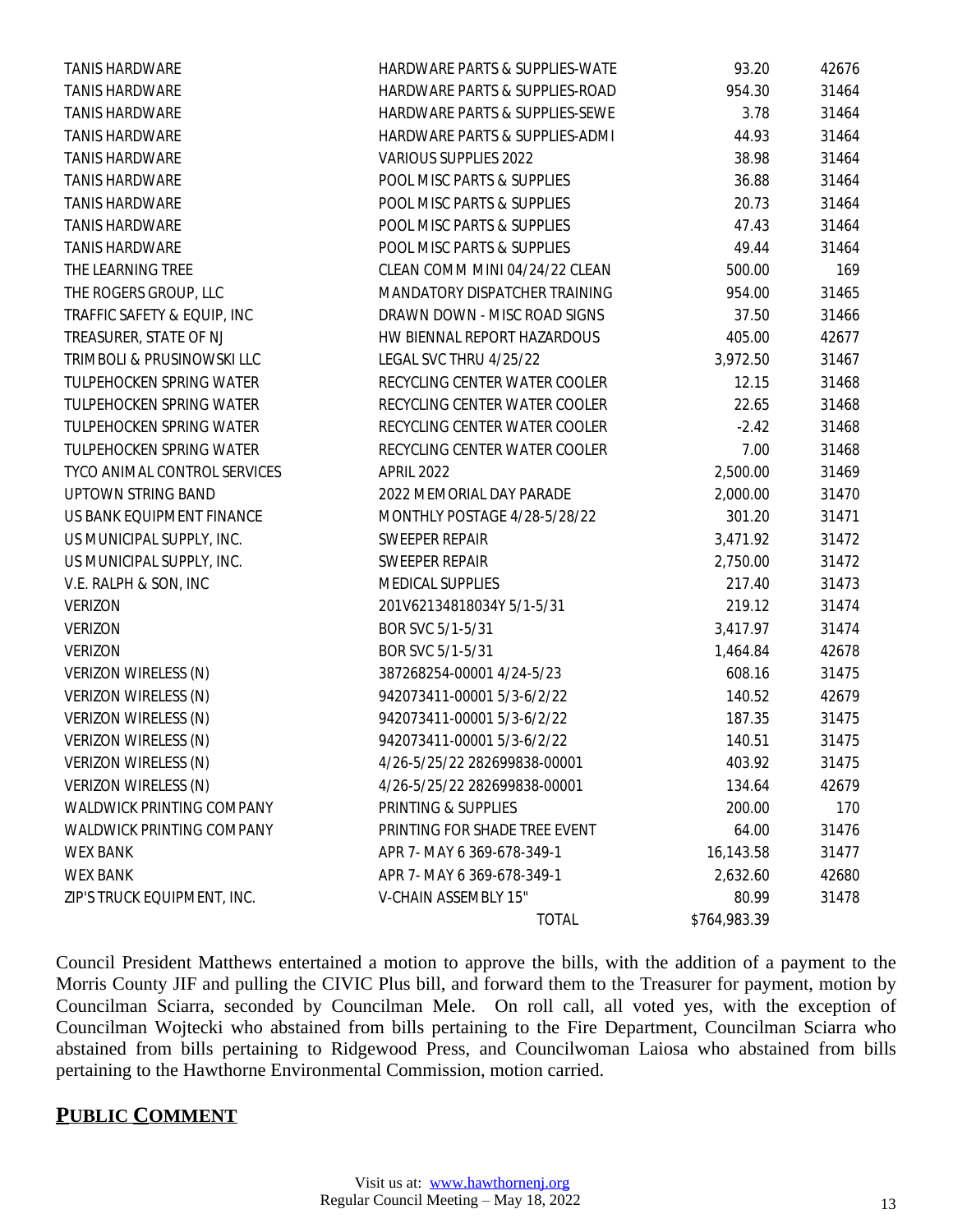|                              | <b>TOTAL</b>                   | \$764,983.39 |       |
|------------------------------|--------------------------------|--------------|-------|
| ZIP'S TRUCK EQUIPMENT, INC.  | V-CHAIN ASSEMBLY 15"           | 80.99        | 31478 |
| <b>WEX BANK</b>              | APR 7- MAY 6 369-678-349-1     | 2,632.60     | 42680 |
| <b>WEX BANK</b>              | APR 7- MAY 6 369-678-349-1     | 16,143.58    | 31477 |
| WALDWICK PRINTING COMPANY    | PRINTING FOR SHADE TREE EVENT  | 64.00        | 31476 |
| WALDWICK PRINTING COMPANY    | PRINTING & SUPPLIES            | 200.00       | 170   |
| VERIZON WIRELESS (N)         | 4/26-5/25/22 282699838-00001   | 134.64       | 42679 |
| VERIZON WIRELESS (N)         | 4/26-5/25/22 282699838-00001   | 403.92       | 31475 |
| VERIZON WIRELESS (N)         | 942073411-00001 5/3-6/2/22     | 140.51       | 31475 |
| VERIZON WIRELESS (N)         | 942073411-00001 5/3-6/2/22     | 187.35       | 31475 |
| VERIZON WIRELESS (N)         | 942073411-00001 5/3-6/2/22     | 140.52       | 42679 |
| VERIZON WIRELESS (N)         | 387268254-00001 4/24-5/23      | 608.16       | 31475 |
| <b>VERIZON</b>               | BOR SVC 5/1-5/31               | 1,464.84     | 42678 |
| <b>VERIZON</b>               | BOR SVC 5/1-5/31               | 3,417.97     | 31474 |
| <b>VERIZON</b>               | 201V62134818034Y 5/1-5/31      | 219.12       | 31474 |
| V.E. RALPH & SON, INC        | MEDICAL SUPPLIES               | 217.40       | 31473 |
| US MUNICIPAL SUPPLY, INC.    | SWEEPER REPAIR                 | 2,750.00     | 31472 |
| US MUNICIPAL SUPPLY, INC.    | SWEEPER REPAIR                 | 3,471.92     | 31472 |
| US BANK EQUIPMENT FINANCE    | MONTHLY POSTAGE 4/28-5/28/22   | 301.20       | 31471 |
| UPTOWN STRING BAND           | 2022 MEMORIAL DAY PARADE       | 2,000.00     | 31470 |
| TYCO ANIMAL CONTROL SERVICES | <b>APRIL 2022</b>              | 2,500.00     | 31469 |
| TULPEHOCKEN SPRING WATER     | RECYCLING CENTER WATER COOLER  | 7.00         | 31468 |
| TULPEHOCKEN SPRING WATER     | RECYCLING CENTER WATER COOLER  | $-2.42$      | 31468 |
| TULPEHOCKEN SPRING WATER     | RECYCLING CENTER WATER COOLER  | 22.65        | 31468 |
| TULPEHOCKEN SPRING WATER     | RECYCLING CENTER WATER COOLER  | 12.15        | 31468 |
| TRIMBOLI & PRUSINOWSKI LLC   | LEGAL SVC THRU 4/25/22         | 3,972.50     | 31467 |
| TREASURER, STATE OF NJ       | HW BIENNAL REPORT HAZARDOUS    | 405.00       | 42677 |
| TRAFFIC SAFETY & EQUIP, INC  | DRAWN DOWN - MISC ROAD SIGNS   | 37.50        | 31466 |
| THE ROGERS GROUP, LLC        | MANDATORY DISPATCHER TRAINING  | 954.00       | 31465 |
| THE LEARNING TREE            | CLEAN COMM MINI 04/24/22 CLEAN | 500.00       | 169   |
| <b>TANIS HARDWARE</b>        | POOL MISC PARTS & SUPPLIES     | 49.44        | 31464 |
| <b>TANIS HARDWARE</b>        | POOL MISC PARTS & SUPPLIES     | 47.43        | 31464 |
| <b>TANIS HARDWARE</b>        | POOL MISC PARTS & SUPPLIES     | 20.73        | 31464 |
| <b>TANIS HARDWARE</b>        | POOL MISC PARTS & SUPPLIES     | 36.88        | 31464 |
| <b>TANIS HARDWARE</b>        | VARIOUS SUPPLIES 2022          | 38.98        | 31464 |
| <b>TANIS HARDWARE</b>        | HARDWARE PARTS & SUPPLIES-ADMI | 44.93        | 31464 |
| <b>TANIS HARDWARE</b>        | HARDWARE PARTS & SUPPLIES-SEWE | 3.78         | 31464 |
| <b>TANIS HARDWARE</b>        | HARDWARE PARTS & SUPPLIES-ROAD | 954.30       | 31464 |
| <b>TANIS HARDWARE</b>        | HARDWARE PARTS & SUPPLIES-WATE | 93.20        | 42676 |

Council President Matthews entertained a motion to approve the bills, with the addition of a payment to the Morris County JIF and pulling the CIVIC Plus bill, and forward them to the Treasurer for payment, motion by Councilman Sciarra, seconded by Councilman Mele. On roll call, all voted yes, with the exception of Councilman Wojtecki who abstained from bills pertaining to the Fire Department, Councilman Sciarra who abstained from bills pertaining to Ridgewood Press, and Councilwoman Laiosa who abstained from bills pertaining to the Hawthorne Environmental Commission, motion carried.

# **PUBLIC COMMENT**